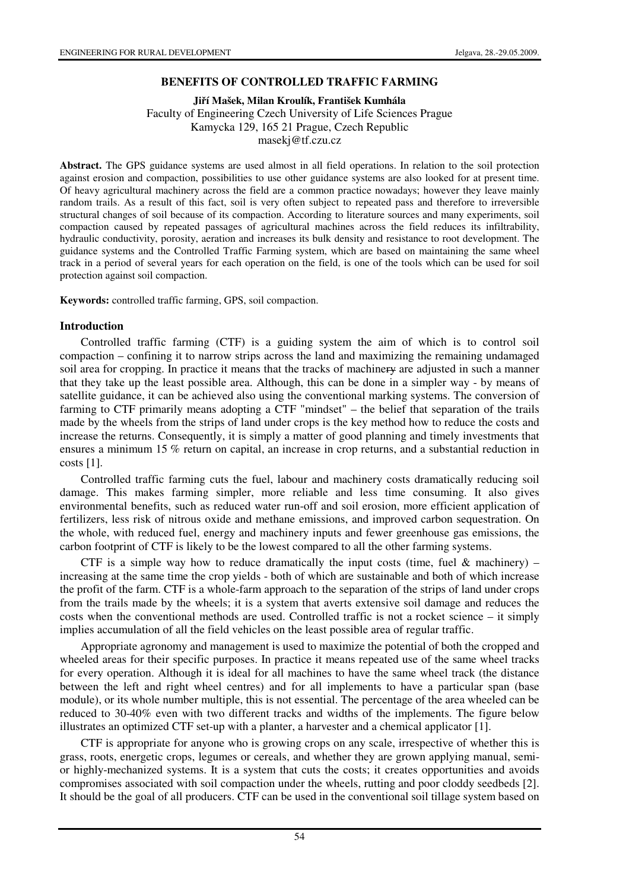### **BENEFITS OF CONTROLLED TRAFFIC FARMING**

**Ji**ř**í Mašek, Milan Kroulík, František Kumhála** 

Faculty of Engineering Czech University of Life Sciences Prague Kamycka 129, 165 21 Prague, Czech Republic masekj@tf.czu.cz

**Abstract.** The GPS guidance systems are used almost in all field operations. In relation to the soil protection against erosion and compaction, possibilities to use other guidance systems are also looked for at present time. Of heavy agricultural machinery across the field are a common practice nowadays; however they leave mainly random trails. As a result of this fact, soil is very often subject to repeated pass and therefore to irreversible structural changes of soil because of its compaction. According to literature sources and many experiments, soil compaction caused by repeated passages of agricultural machines across the field reduces its infiltrability, hydraulic conductivity, porosity, aeration and increases its bulk density and resistance to root development. The guidance systems and the Controlled Traffic Farming system, which are based on maintaining the same wheel track in a period of several years for each operation on the field, is one of the tools which can be used for soil protection against soil compaction.

**Keywords:** controlled traffic farming, GPS, soil compaction.

### **Introduction**

Controlled traffic farming (CTF) is a guiding system the aim of which is to control soil compaction – confining it to narrow strips across the land and maximizing the remaining undamaged soil area for cropping. In practice it means that the tracks of machinery are adjusted in such a manner that they take up the least possible area. Although, this can be done in a simpler way - by means of satellite guidance, it can be achieved also using the conventional marking systems. The conversion of farming to CTF primarily means adopting a CTF "mindset" – the belief that separation of the trails made by the wheels from the strips of land under crops is the key method how to reduce the costs and increase the returns. Consequently, it is simply a matter of good planning and timely investments that ensures a minimum 15 % return on capital, an increase in crop returns, and a substantial reduction in costs [1].

Controlled traffic farming cuts the fuel, labour and machinery costs dramatically reducing soil damage. This makes farming simpler, more reliable and less time consuming. It also gives environmental benefits, such as reduced water run-off and soil erosion, more efficient application of fertilizers, less risk of nitrous oxide and methane emissions, and improved carbon sequestration. On the whole, with reduced fuel, energy and machinery inputs and fewer greenhouse gas emissions, the carbon footprint of CTF is likely to be the lowest compared to all the other farming systems.

CTF is a simple way how to reduce dramatically the input costs (time, fuel  $\&$  machinery) – increasing at the same time the crop yields - both of which are sustainable and both of which increase the profit of the farm. CTF is a whole-farm approach to the separation of the strips of land under crops from the trails made by the wheels; it is a system that averts extensive soil damage and reduces the costs when the conventional methods are used. Controlled traffic is not a rocket science – it simply implies accumulation of all the field vehicles on the least possible area of regular traffic.

Appropriate agronomy and management is used to maximize the potential of both the cropped and wheeled areas for their specific purposes. In practice it means repeated use of the same wheel tracks for every operation. Although it is ideal for all machines to have the same wheel track (the distance between the left and right wheel centres) and for all implements to have a particular span (base module), or its whole number multiple, this is not essential. The percentage of the area wheeled can be reduced to 30-40% even with two different tracks and widths of the implements. The figure below illustrates an optimized CTF set-up with a planter, a harvester and a chemical applicator [1].

CTF is appropriate for anyone who is growing crops on any scale, irrespective of whether this is grass, roots, energetic crops, legumes or cereals, and whether they are grown applying manual, semior highly-mechanized systems. It is a system that cuts the costs; it creates opportunities and avoids compromises associated with soil compaction under the wheels, rutting and poor cloddy seedbeds [2]. It should be the goal of all producers. CTF can be used in the conventional soil tillage system based on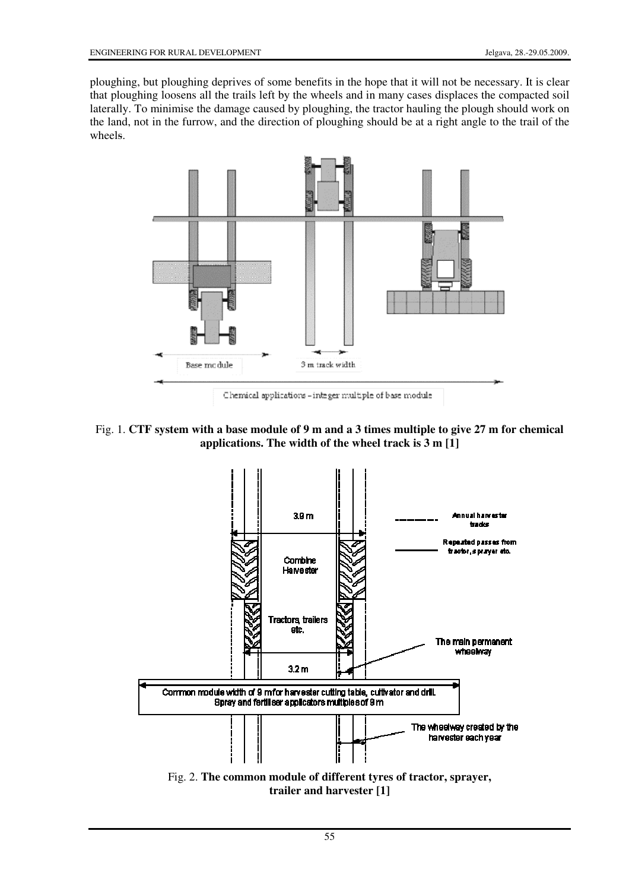ploughing, but ploughing deprives of some benefits in the hope that it will not be necessary. It is clear that ploughing loosens all the trails left by the wheels and in many cases displaces the compacted soil laterally. To minimise the damage caused by ploughing, the tractor hauling the plough should work on the land, not in the furrow, and the direction of ploughing should be at a right angle to the trail of the wheels.



Chemical applications - integer multiple of base module

# Fig. 1. **CTF system with a base module of 9 m and a 3 times multiple to give 27 m for chemical applications. The width of the wheel track is 3 m [1]**

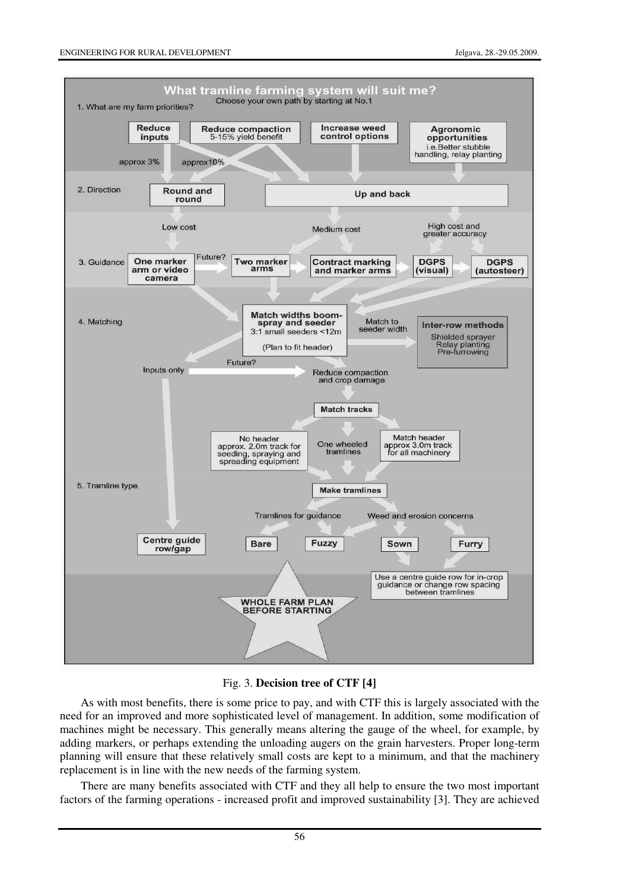#### ENGINEERING FOR RURAL DEVELOPMENT Jelgava, 28.-29.05.2009.



Fig. 3. **Decision tree of CTF [4]** 

As with most benefits, there is some price to pay, and with CTF this is largely associated with the need for an improved and more sophisticated level of management. In addition, some modification of machines might be necessary. This generally means altering the gauge of the wheel, for example, by adding markers, or perhaps extending the unloading augers on the grain harvesters. Proper long-term planning will ensure that these relatively small costs are kept to a minimum, and that the machinery replacement is in line with the new needs of the farming system.

There are many benefits associated with CTF and they all help to ensure the two most important factors of the farming operations - increased profit and improved sustainability [3]. They are achieved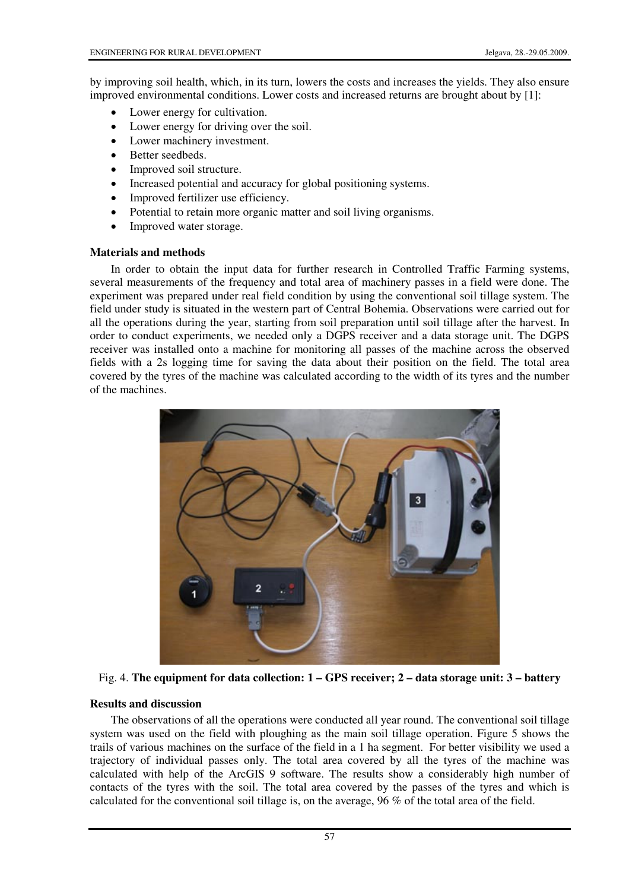by improving soil health, which, in its turn, lowers the costs and increases the yields. They also ensure improved environmental conditions. Lower costs and increased returns are brought about by [1]:

- Lower energy for cultivation.
- Lower energy for driving over the soil.
- Lower machinery investment.
- Better seedbeds.
- Improved soil structure.
- Increased potential and accuracy for global positioning systems.
- Improved fertilizer use efficiency.
- Potential to retain more organic matter and soil living organisms.
- Improved water storage.

## **Materials and methods**

In order to obtain the input data for further research in Controlled Traffic Farming systems, several measurements of the frequency and total area of machinery passes in a field were done. The experiment was prepared under real field condition by using the conventional soil tillage system. The field under study is situated in the western part of Central Bohemia. Observations were carried out for all the operations during the year, starting from soil preparation until soil tillage after the harvest. In order to conduct experiments, we needed only a DGPS receiver and a data storage unit. The DGPS receiver was installed onto a machine for monitoring all passes of the machine across the observed fields with a 2s logging time for saving the data about their position on the field. The total area covered by the tyres of the machine was calculated according to the width of its tyres and the number of the machines.



Fig. 4. **The equipment for data collection: 1 – GPS receiver; 2 – data storage unit: 3 – battery** 

## **Results and discussion**

The observations of all the operations were conducted all year round. The conventional soil tillage system was used on the field with ploughing as the main soil tillage operation. Figure 5 shows the trails of various machines on the surface of the field in a 1 ha segment. For better visibility we used a trajectory of individual passes only. The total area covered by all the tyres of the machine was calculated with help of the ArcGIS 9 software. The results show a considerably high number of contacts of the tyres with the soil. The total area covered by the passes of the tyres and which is calculated for the conventional soil tillage is, on the average, 96 % of the total area of the field.